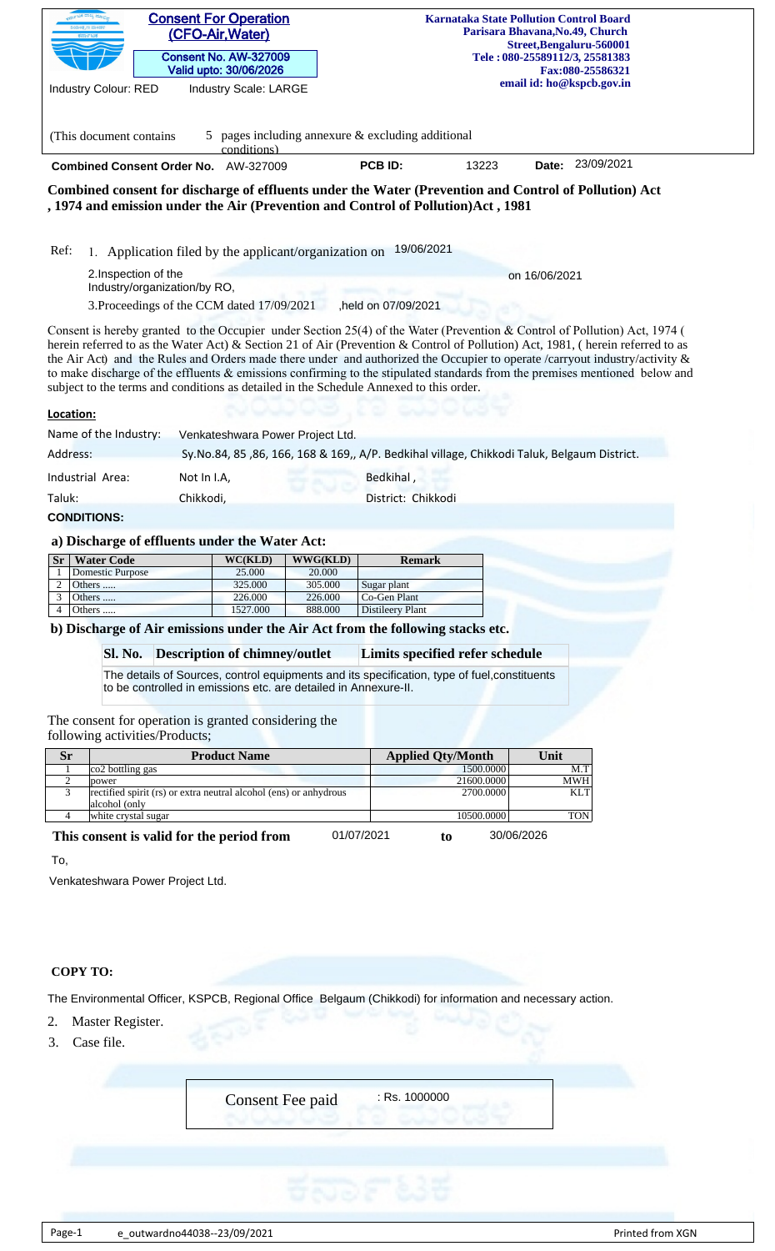| <b>Consent For Operation</b><br><b>Karnataka State Pollution Control Board</b><br>Parisara Bhavana, No.49, Church<br>(CFO-Air, Water)<br>Street, Bengaluru-560001<br><b>Consent No. AW-327009</b><br>Tele: 080-25589112/3, 25581383<br>Valid upto: 30/06/2026<br>Fax:080-25586321<br>email id: ho@kspcb.gov.in<br><b>Industry Colour: RED</b><br><b>Industry Scale: LARGE</b>                                                                                                                                                                                                                                        |  |  |  |  |  |  |  |  |
|----------------------------------------------------------------------------------------------------------------------------------------------------------------------------------------------------------------------------------------------------------------------------------------------------------------------------------------------------------------------------------------------------------------------------------------------------------------------------------------------------------------------------------------------------------------------------------------------------------------------|--|--|--|--|--|--|--|--|
| pages including annexure & excluding additional<br>(This document contains)<br>5<br>conditions)                                                                                                                                                                                                                                                                                                                                                                                                                                                                                                                      |  |  |  |  |  |  |  |  |
| 23/09/2021<br>PCB ID:<br>13223<br>Combined Consent Order No. AW-327009<br>Date:                                                                                                                                                                                                                                                                                                                                                                                                                                                                                                                                      |  |  |  |  |  |  |  |  |
| Combined consent for discharge of effluents under the Water (Prevention and Control of Pollution) Act<br>, 1974 and emission under the Air (Prevention and Control of Pollution)Act, 1981                                                                                                                                                                                                                                                                                                                                                                                                                            |  |  |  |  |  |  |  |  |
| 19/06/2021<br>Ref:<br>1. Application filed by the applicant/organization on                                                                                                                                                                                                                                                                                                                                                                                                                                                                                                                                          |  |  |  |  |  |  |  |  |
| 2. Inspection of the<br>on 16/06/2021<br>Industry/organization/by RO,                                                                                                                                                                                                                                                                                                                                                                                                                                                                                                                                                |  |  |  |  |  |  |  |  |
| 3. Proceedings of the CCM dated 17/09/2021<br>held on 07/09/2021                                                                                                                                                                                                                                                                                                                                                                                                                                                                                                                                                     |  |  |  |  |  |  |  |  |
| Consent is hereby granted to the Occupier under Section 25(4) of the Water (Prevention & Control of Pollution) Act, 1974 (<br>herein referred to as the Water Act) & Section 21 of Air (Prevention & Control of Pollution) Act, 1981, (herein referred to as<br>the Air Act) and the Rules and Orders made there under and authorized the Occupier to operate /carryout industry/activity &<br>to make discharge of the effluents & emissions confirming to the stipulated standards from the premises mentioned below and<br>subject to the terms and conditions as detailed in the Schedule Annexed to this order. |  |  |  |  |  |  |  |  |
| Location:                                                                                                                                                                                                                                                                                                                                                                                                                                                                                                                                                                                                            |  |  |  |  |  |  |  |  |
| Name of the Industry:<br>Venkateshwara Power Project Ltd.                                                                                                                                                                                                                                                                                                                                                                                                                                                                                                                                                            |  |  |  |  |  |  |  |  |
| Address:<br>Sy.No.84, 85, 86, 166, 168 & 169,, A/P. Bedkihal village, Chikkodi Taluk, Belgaum District.                                                                                                                                                                                                                                                                                                                                                                                                                                                                                                              |  |  |  |  |  |  |  |  |
| Bedkihal,<br>Industrial Area:<br>Not In I.A,                                                                                                                                                                                                                                                                                                                                                                                                                                                                                                                                                                         |  |  |  |  |  |  |  |  |
| Taluk:<br>Chikkodi,<br>District: Chikkodi                                                                                                                                                                                                                                                                                                                                                                                                                                                                                                                                                                            |  |  |  |  |  |  |  |  |
| <b>CONDITIONS:</b>                                                                                                                                                                                                                                                                                                                                                                                                                                                                                                                                                                                                   |  |  |  |  |  |  |  |  |
|                                                                                                                                                                                                                                                                                                                                                                                                                                                                                                                                                                                                                      |  |  |  |  |  |  |  |  |
| a) Discharge of effluents under the Water Act:<br><b>Water Code</b><br>$\overline{\text{WC(KLD)}}$<br><b>WWG(KLD)</b><br><b>Remark</b><br><b>Sr</b>                                                                                                                                                                                                                                                                                                                                                                                                                                                                  |  |  |  |  |  |  |  |  |
|                                                                                                                                                                                                                                                                                                                                                                                                                                                                                                                                                                                                                      |  |  |  |  |  |  |  |  |
| <b>Domestic Purpose</b><br>25.000<br>20.000                                                                                                                                                                                                                                                                                                                                                                                                                                                                                                                                                                          |  |  |  |  |  |  |  |  |
| 325.000<br>305.000<br>Sugar plant<br>2<br>Others                                                                                                                                                                                                                                                                                                                                                                                                                                                                                                                                                                     |  |  |  |  |  |  |  |  |
| 226.000<br>226.000<br>Co-Gen Plant<br>3<br>Others<br>1527.000<br>888.000<br><b>Distileery Plant</b><br>Others<br>4                                                                                                                                                                                                                                                                                                                                                                                                                                                                                                   |  |  |  |  |  |  |  |  |
| b) Discharge of Air emissions under the Air Act from the following stacks etc.                                                                                                                                                                                                                                                                                                                                                                                                                                                                                                                                       |  |  |  |  |  |  |  |  |
| <b>Sl. No.</b>                                                                                                                                                                                                                                                                                                                                                                                                                                                                                                                                                                                                       |  |  |  |  |  |  |  |  |
| <b>Description of chimney/outlet</b><br>Limits specified refer schedule<br>The details of Sources, control equipments and its specification, type of fuel, constituents                                                                                                                                                                                                                                                                                                                                                                                                                                              |  |  |  |  |  |  |  |  |
| to be controlled in emissions etc. are detailed in Annexure-II.                                                                                                                                                                                                                                                                                                                                                                                                                                                                                                                                                      |  |  |  |  |  |  |  |  |
| The consent for operation is granted considering the<br>following activities/Products;                                                                                                                                                                                                                                                                                                                                                                                                                                                                                                                               |  |  |  |  |  |  |  |  |
| <b>Sr</b><br><b>Product Name</b><br>Unit<br><b>Applied Qty/Month</b>                                                                                                                                                                                                                                                                                                                                                                                                                                                                                                                                                 |  |  |  |  |  |  |  |  |
| 1500.0000<br>co2 bottling gas<br>M.T<br>1<br>21600.0000<br><b>MWH</b><br>power                                                                                                                                                                                                                                                                                                                                                                                                                                                                                                                                       |  |  |  |  |  |  |  |  |
| 2<br>3<br>rectified spirit (rs) or extra neutral alcohol (ens) or anhydrous<br>2700.0000<br><b>KLT</b>                                                                                                                                                                                                                                                                                                                                                                                                                                                                                                               |  |  |  |  |  |  |  |  |
| alcohol (only<br>10500.0000<br><b>TON</b><br>$\overline{4}$<br>white crystal sugar                                                                                                                                                                                                                                                                                                                                                                                                                                                                                                                                   |  |  |  |  |  |  |  |  |
| 01/07/2021<br>30/06/2026<br>This consent is valid for the period from<br>to                                                                                                                                                                                                                                                                                                                                                                                                                                                                                                                                          |  |  |  |  |  |  |  |  |
| To,                                                                                                                                                                                                                                                                                                                                                                                                                                                                                                                                                                                                                  |  |  |  |  |  |  |  |  |
| Venkateshwara Power Project Ltd.                                                                                                                                                                                                                                                                                                                                                                                                                                                                                                                                                                                     |  |  |  |  |  |  |  |  |
|                                                                                                                                                                                                                                                                                                                                                                                                                                                                                                                                                                                                                      |  |  |  |  |  |  |  |  |
|                                                                                                                                                                                                                                                                                                                                                                                                                                                                                                                                                                                                                      |  |  |  |  |  |  |  |  |
|                                                                                                                                                                                                                                                                                                                                                                                                                                                                                                                                                                                                                      |  |  |  |  |  |  |  |  |
|                                                                                                                                                                                                                                                                                                                                                                                                                                                                                                                                                                                                                      |  |  |  |  |  |  |  |  |
| <b>COPY TO:</b>                                                                                                                                                                                                                                                                                                                                                                                                                                                                                                                                                                                                      |  |  |  |  |  |  |  |  |
| The Environmental Officer, KSPCB, Regional Office Belgaum (Chikkodi) for information and necessary action.                                                                                                                                                                                                                                                                                                                                                                                                                                                                                                           |  |  |  |  |  |  |  |  |
| Master Register.<br>2.                                                                                                                                                                                                                                                                                                                                                                                                                                                                                                                                                                                               |  |  |  |  |  |  |  |  |

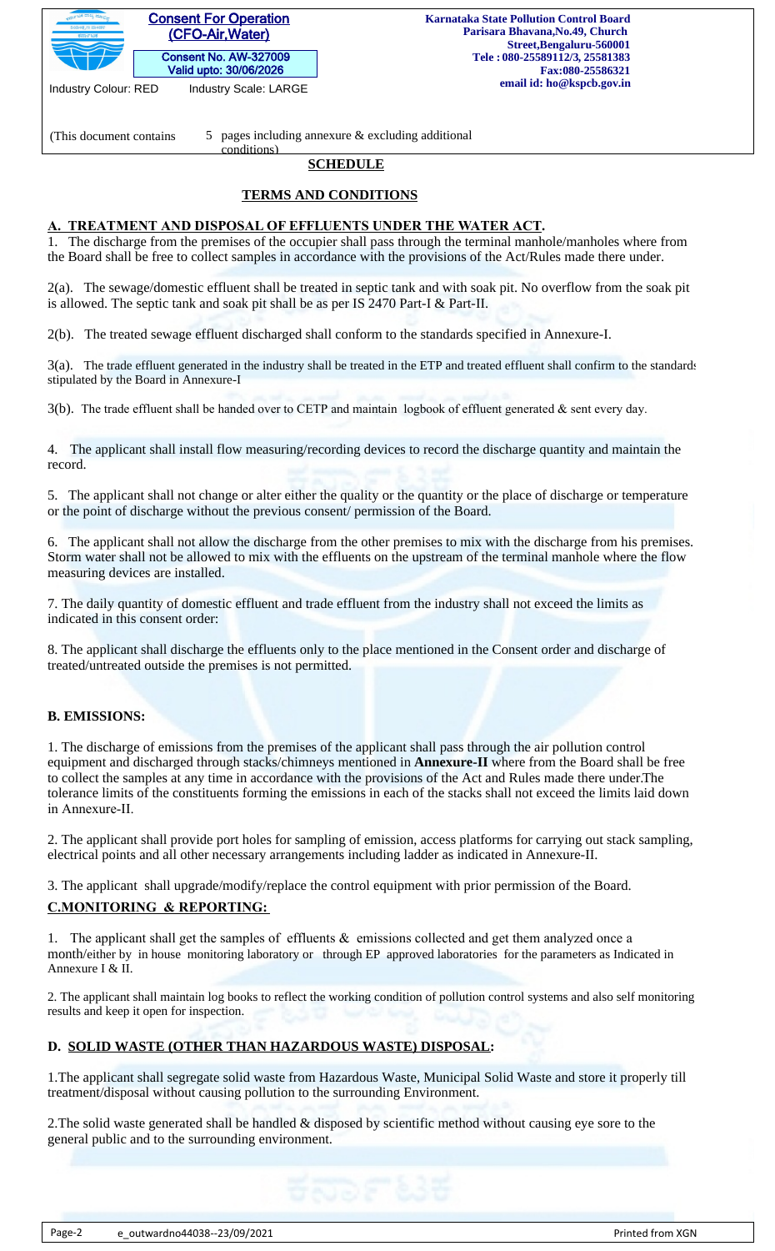|                           | <b>Consent For Operation</b> |
|---------------------------|------------------------------|
| ನಿಯಂತ .ಣ ಮಂಡಳಿ<br>ಕರ್ನಾಟಕ | (CFO-Air, Water)             |
|                           | <b>Consent No. AW-327009</b> |
|                           | Valid upto: 30/06/2026       |

Industry Colour: RED Industry Scale: LARGE

(This document contains  $\qquad 5 \quad$  pages including annexure & excluding additional

# **SCHEDULE**

# **TERMS AND CONDITIONS**

## **A. TREATMENT AND DISPOSAL OF EFFLUENTS UNDER THE WATER ACT.**

conditions)

1. The discharge from the premises of the occupier shall pass through the terminal manhole/manholes where from the Board shall be free to collect samples in accordance with the provisions of the Act/Rules made there under.

2(a). The sewage/domestic effluent shall be treated in septic tank and with soak pit. No overflow from the soak pit is allowed. The septic tank and soak pit shall be as per IS 2470 Part-I & Part-II.

2(b). The treated sewage effluent discharged shall conform to the standards specified in Annexure-I.

3(a). The trade effluent generated in the industry shall be treated in the ETP and treated effluent shall confirm to the standards stipulated by the Board in Annexure-I

3(b). The trade effluent shall be handed over to CETP and maintain logbook of effluent generated & sent every day.

4. The applicant shall install flow measuring/recording devices to record the discharge quantity and maintain the record.

5. The applicant shall not change or alter either the quality or the quantity or the place of discharge or temperature or the point of discharge without the previous consent/ permission of the Board.

6. The applicant shall not allow the discharge from the other premises to mix with the discharge from his premises. Storm water shall not be allowed to mix with the effluents on the upstream of the terminal manhole where the flow measuring devices are installed.

7. The daily quantity of domestic effluent and trade effluent from the industry shall not exceed the limits as indicated in this consent order:

8. The applicant shall discharge the effluents only to the place mentioned in the Consent order and discharge of treated/untreated outside the premises is not permitted.

## **B. EMISSIONS:**

1. The discharge of emissions from the premises of the applicant shall pass through the air pollution control equipment and discharged through stacks/chimneys mentioned in **Annexure-II** where from the Board shall be free to collect the samples at any time in accordance with the provisions of the Act and Rules made there under.The tolerance limits of the constituents forming the emissions in each of the stacks shall not exceed the limits laid down in Annexure-II.

2. The applicant shall provide port holes for sampling of emission, access platforms for carrying out stack sampling, electrical points and all other necessary arrangements including ladder as indicated in Annexure-II.

3. The applicant shall upgrade/modify/replace the control equipment with prior permission of the Board.

## **C.MONITORING & REPORTING:**

1. The applicant shall get the samples of effluents & emissions collected and get them analyzed once a month/either by in house monitoring laboratory or through EP approved laboratories for the parameters as Indicated in Annexure I & II.

2. The applicant shall maintain log books to reflect the working condition of pollution control systems and also self monitoring results and keep it open for inspection.

## **D. SOLID WASTE (OTHER THAN HAZARDOUS WASTE) DISPOSAL:**

1.The applicant shall segregate solid waste from Hazardous Waste, Municipal Solid Waste and store it properly till treatment/disposal without causing pollution to the surrounding Environment.

2.The solid waste generated shall be handled & disposed by scientific method without causing eye sore to the general public and to the surrounding environment.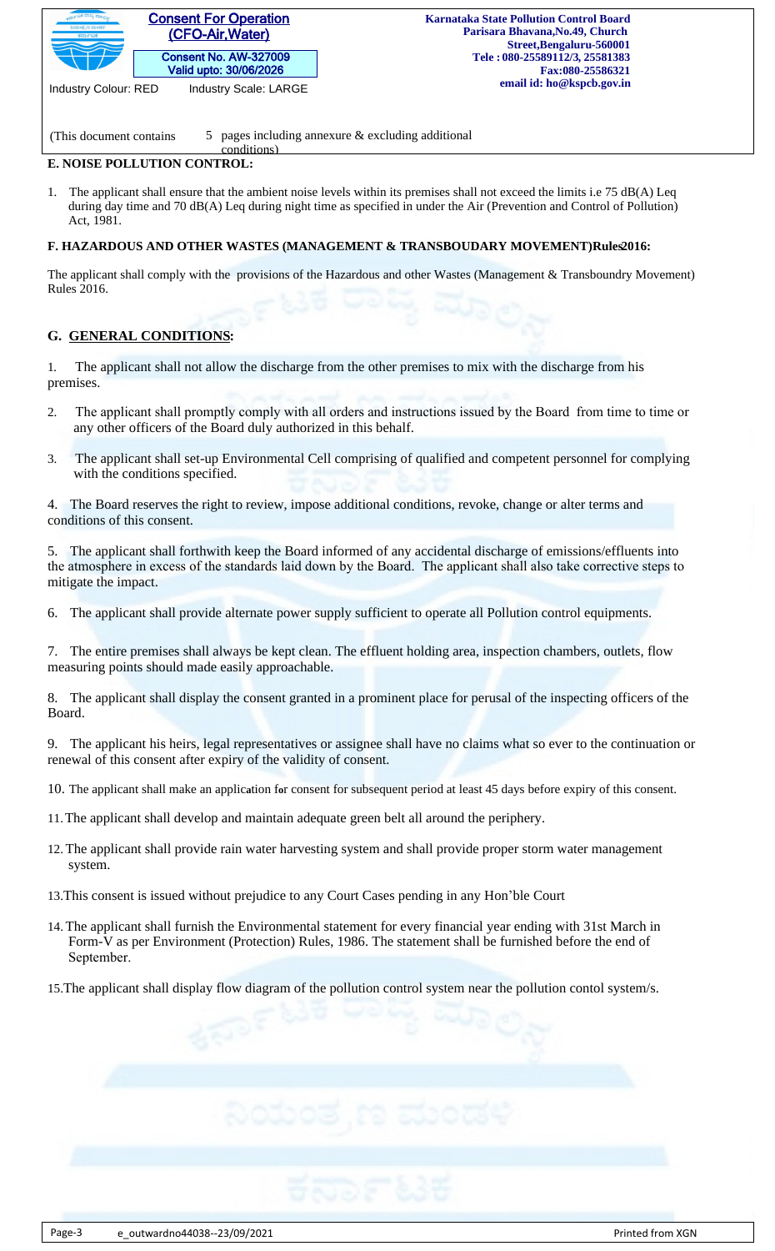

Industry Colour: RED Industry Scale: LARGE

(This document contains  $\qquad 5 \quad$  pages including annexure & excluding additional

#### **E. NOISE POLLUTION CONTROL:**  conditions)

1. The applicant shall ensure that the ambient noise levels within its premises shall not exceed the limits i.e 75 dB(A) Leq during day time and 70 dB(A) Leq during night time as specified in under the Air (Prevention and Control of Pollution) Act, 1981.

### **F. HAZARDOUS AND OTHER WASTES (MANAGEMENT & TRANSBOUDARY MOVEMENT)Rules 2016:**

The applicant shall comply with the provisions of the Hazardous and other Wastes (Management & Transboundry Movement) Rules 2016.

## **G. GENERAL CONDITIONS:**

1. The applicant shall not allow the discharge from the other premises to mix with the discharge from his premises.

- 2. The applicant shall promptly comply with all orders and instructions issued by the Board from time to time or any other officers of the Board duly authorized in this behalf.
- 3. The applicant shall set-up Environmental Cell comprising of qualified and competent personnel for complying with the conditions specified.

4. The Board reserves the right to review, impose additional conditions, revoke, change or alter terms and conditions of this consent.

5. The applicant shall forthwith keep the Board informed of any accidental discharge of emissions/effluents into the atmosphere in excess of the standards laid down by the Board. The applicant shall also take corrective steps to mitigate the impact.

6. The applicant shall provide alternate power supply sufficient to operate all Pollution control equipments.

7. The entire premises shall always be kept clean. The effluent holding area, inspection chambers, outlets, flow measuring points should made easily approachable.

8. The applicant shall display the consent granted in a prominent place for perusal of the inspecting officers of the Board.

9. The applicant his heirs, legal representatives or assignee shall have no claims what so ever to the continuation or renewal of this consent after expiry of the validity of consent.

- 10. The applicant shall make an applic**a**tion f**o**r consent for subsequent period at least 45 days before expiry of this consent.
- 11.The applicant shall develop and maintain adequate green belt all around the periphery.
- 12.The applicant shall provide rain water harvesting system and shall provide proper storm water management system.
- 13.This consent is issued without prejudice to any Court Cases pending in any Hon'ble Court
- 14.The applicant shall furnish the Environmental statement for every financial year ending with 31st March in Form-V as per Environment (Protection) Rules, 1986. The statement shall be furnished before the end of September.
- 15.The applicant shall display flow diagram of the pollution control system near the pollution contol system/s.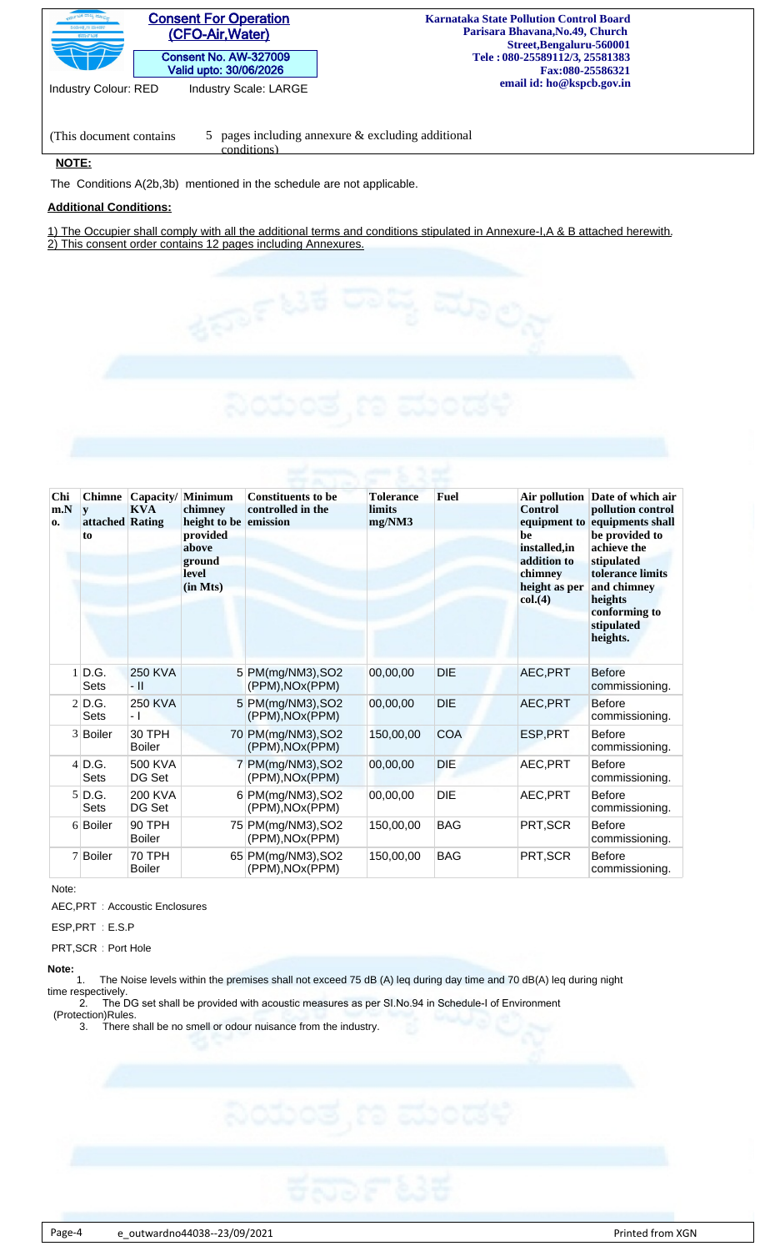| <b>Consent For Operation</b><br>ನಿಯಂತೃಣ ಮಂಡಳಿ<br>(CFO-Air, Water)<br>ಕರ್ನಾಟಕ | <b>Karnataka State Pollution Control Board</b><br>Parisara Bhavana, No. 49, Church<br>Street, Bengaluru-560001 |
|------------------------------------------------------------------------------|----------------------------------------------------------------------------------------------------------------|
| <b>Consent No. AW-327009</b><br>Valid upto: 30/06/2026                       | Tele: 080-25589112/3, 25581383<br>Fax:080-25586321                                                             |
| <b>Industry Scale: LARGE</b><br><b>Industry Colour: RED</b>                  | email id: ho@kspcb.gov.in                                                                                      |
|                                                                              |                                                                                                                |

(This document contains  $\qquad 5 \quad$  pages including annexure & excluding additional conditions)

#### **NOTE:**

The Conditions A(2b,3b) mentioned in the schedule are not applicable.

#### **Additional Conditions:**

1) The Occupier shall comply with all the additional terms and conditions stipulated in Annexure-I,A & B attached herewith. 2) This consent order contains 12 pages including Annexures.

| Chi<br>m.N<br>0. | <b>Chimne</b><br>y<br>attached Rating<br>to | <b>KVA</b>                     | Capacity/ Minimum<br>chimney<br>height to be emission<br>provided<br>above<br>ground<br><b>level</b><br>(in Mts) | <b>Constituents to be</b><br>controlled in the | <b>Tolerance</b><br><b>limits</b><br>mg/NM3 | <b>Fuel</b> | <b>Control</b><br>equipment to<br>be<br>installed, in<br>addition to<br>chimney<br>height as per<br>col.(4) | Air pollution Date of which air<br>pollution control<br>equipments shall<br>be provided to<br>achieve the<br>stipulated<br>tolerance limits<br>and chimney<br>heights<br>conforming to<br>stipulated<br>heights. |
|------------------|---------------------------------------------|--------------------------------|------------------------------------------------------------------------------------------------------------------|------------------------------------------------|---------------------------------------------|-------------|-------------------------------------------------------------------------------------------------------------|------------------------------------------------------------------------------------------------------------------------------------------------------------------------------------------------------------------|
|                  | $1$ D.G.<br><b>Sets</b>                     | <b>250 KVA</b><br>- 11         |                                                                                                                  | 5 PM(mg/NM3), SO2<br>(PPM), NOx(PPM)           | 00,00,00                                    | <b>DIE</b>  | AEC, PRT                                                                                                    | <b>Before</b><br>commissioning.                                                                                                                                                                                  |
|                  | $2$ D.G.<br><b>Sets</b>                     | <b>250 KVA</b><br>- 1          |                                                                                                                  | 5 PM(mg/NM3), SO2<br>(PPM), NOx(PPM)           | 00,00,00                                    | <b>DIE</b>  | AEC, PRT                                                                                                    | <b>Before</b><br>commissioning.                                                                                                                                                                                  |
|                  | 3 Boiler                                    | 30 TPH<br><b>Boiler</b>        |                                                                                                                  | 70 PM(mg/NM3), SO2<br>(PPM), NOx(PPM)          | 150,00,00                                   | <b>COA</b>  | ESP, PRT                                                                                                    | <b>Before</b><br>commissioning.                                                                                                                                                                                  |
|                  | $4$ D.G.<br><b>Sets</b>                     | 500 KVA<br>DG Set              | $\overline{7}$                                                                                                   | PM(mg/NM3), SO2<br>(PPM), NOx(PPM)             | 00,00,00                                    | <b>DIE</b>  | AEC, PRT                                                                                                    | <b>Before</b><br>commissioning.                                                                                                                                                                                  |
|                  | $5$ D.G.<br><b>Sets</b>                     | <b>200 KVA</b><br>DG Set       |                                                                                                                  | 6 PM(mg/NM3), SO2<br>(PPM), NOx(PPM)           | 00,00,00                                    | <b>DIE</b>  | AEC, PRT                                                                                                    | <b>Before</b><br>commissioning.                                                                                                                                                                                  |
|                  | 6 Boiler                                    | 90 TPH<br><b>Boiler</b>        |                                                                                                                  | 75 PM(mg/NM3), SO2<br>(PPM), NOx(PPM)          | 150,00,00                                   | <b>BAG</b>  | PRT, SCR                                                                                                    | <b>Before</b><br>commissioning.                                                                                                                                                                                  |
|                  | 7 Boiler                                    | <b>70 TPH</b><br><b>Boiler</b> |                                                                                                                  | 65 PM(mg/NM3), SO2<br>(PPM), NOx(PPM)          | 150,00,00                                   | <b>BAG</b>  | PRT, SCR                                                                                                    | <b>Before</b><br>commissioning.                                                                                                                                                                                  |

Note:

AEC,PRT : Accoustic Enclosures

ESP,PRT : E.S.P

PRT,SCR : Port Hole

#### **Note:**

 1. The Noise levels within the premises shall not exceed 75 dB (A) leq during day time and 70 dB(A) leq during night time respectively.

2. The DG set shall be provided with acoustic measures as per SI.No.94 in Schedule-I of Environment

 (Protection)Rules. 3. There shall be no smell or odour nuisance from the industry.